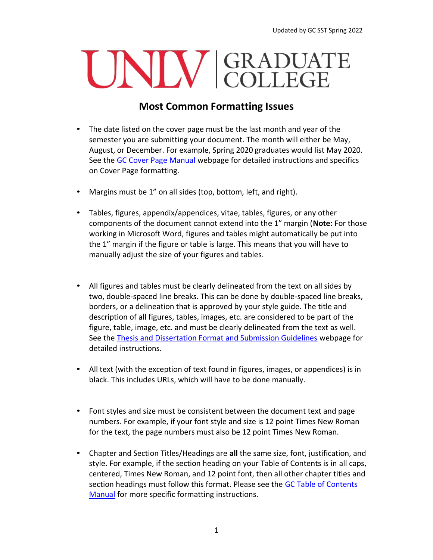## UNIV GRADUATE

## **Most Common Formatting Issues**

- The date listed on the cover page must be the last month and year of the semester you are submitting your document. The month will either be May, August, or December. For example, Spring 2020 graduates would list May 2020. See the [GC Cover Page Manual](https://www.unlv.edu/sites/default/files/page_files/27/GradCollege-CoverPageManual.pdf) webpage for detailed instructions and specifics on Cover Page formatting.
- Margins must be 1" on all sides (top, bottom, left, and right).
- Tables, figures, appendix/appendices, vitae, tables, figures, or any other components of the document cannot extend into the 1" margin (**Note:** For those working in Microsoft Word, figures and tables might automatically be put into the 1" margin if the figure or table is large. This means that you will have to manually adjust the size of your figures and tables.
- All figures and tables must be clearly delineated from the text on all sides by two, double-spaced line breaks. This can be done by double-spaced line breaks, borders, or a delineation that is approved by your style guide. The title and description of all figures, tables, images, etc. are considered to be part of the figure, table, image, etc. and must be clearly delineated from the text as well. See the [Thesis and Dissertation Format and Submission Guidelines](https://www.unlv.edu/graduatecollege/thesis) webpage for detailed instructions.
- All text (with the exception of text found in figures, images, or appendices) is in black. This includes URLs, which will have to be done manually.
- Font styles and size must be consistent between the document text and page numbers. For example, if your font style and size is 12 point Times New Roman for the text, the page numbers must also be 12 point Times New Roman.
- Chapter and Section Titles/Headings are **all** the same size, font, justification, and style. For example, if the section heading on your Table of Contents is in all caps, centered, Times New Roman, and 12 point font, then all other chapter titles and section headings must follow this format. Please see the [GC Table of Contents](https://www.unlv.edu/sites/default/files/page_files/27/ThesisDissertationGuide-TableOfContents-2021.pdf) [Manual](https://www.unlv.edu/sites/default/files/page_files/3/8_TableofContentsManual.pdf) for more specific formatting instructions.